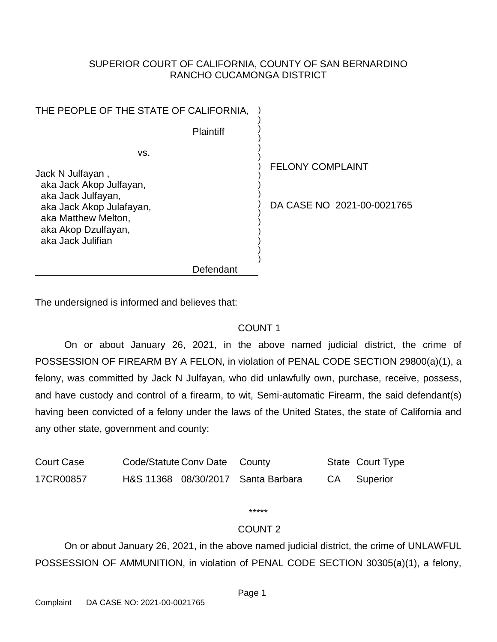### SUPERIOR COURT OF CALIFORNIA, COUNTY OF SAN BERNARDINO RANCHO CUCAMONGA DISTRICT

| THE PEOPLE OF THE STATE OF CALIFORNIA,                                                                                                                                  |                                                       |
|-------------------------------------------------------------------------------------------------------------------------------------------------------------------------|-------------------------------------------------------|
| <b>Plaintiff</b>                                                                                                                                                        |                                                       |
| VS.<br>Jack N Julfayan,<br>aka Jack Akop Julfayan,<br>aka Jack Julfayan,<br>aka Jack Akop Julafayan,<br>aka Matthew Melton,<br>aka Akop Dzulfayan,<br>aka Jack Julifian | <b>FELONY COMPLAINT</b><br>DA CASE NO 2021-00-0021765 |
| Defendant                                                                                                                                                               |                                                       |

The undersigned is informed and believes that:

### COUNT 1

On or about January 26, 2021, in the above named judicial district, the crime of POSSESSION OF FIREARM BY A FELON, in violation of PENAL CODE SECTION 29800(a)(1), a felony, was committed by Jack N Julfayan, who did unlawfully own, purchase, receive, possess, and have custody and control of a firearm, to wit, Semi-automatic Firearm, the said defendant(s) having been convicted of a felony under the laws of the United States, the state of California and any other state, government and county:

| <b>Court Case</b> | Code/Statute Conv Date County |                                    | State Court Type |
|-------------------|-------------------------------|------------------------------------|------------------|
| 17CR00857         |                               | H&S 11368 08/30/2017 Santa Barbara | CA Superior      |

\*\*\*\*\*

### COUNT 2

On or about January 26, 2021, in the above named judicial district, the crime of UNLAWFUL POSSESSION OF AMMUNITION, in violation of PENAL CODE SECTION 30305(a)(1), a felony,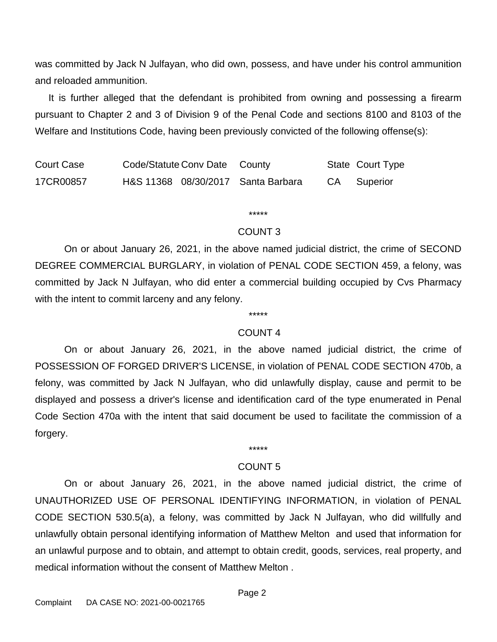was committed by Jack N Julfayan, who did own, possess, and have under his control ammunition and reloaded ammunition.

 It is further alleged that the defendant is prohibited from owning and possessing a firearm pursuant to Chapter 2 and 3 of Division 9 of the Penal Code and sections 8100 and 8103 of the Welfare and Institutions Code, having been previously convicted of the following offense(s):

Court Case Code/Statute Conv Date County State Court Type 17CR00857 H&S 11368 08/30/2017 Santa Barbara CA Superior

#### \*\*\*\*\*

#### COUNT 3

On or about January 26, 2021, in the above named judicial district, the crime of SECOND DEGREE COMMERCIAL BURGLARY, in violation of PENAL CODE SECTION 459, a felony, was committed by Jack N Julfayan, who did enter a commercial building occupied by Cvs Pharmacy with the intent to commit larceny and any felony.

## \*\*\*\*\* COUNT 4

On or about January 26, 2021, in the above named judicial district, the crime of POSSESSION OF FORGED DRIVER'S LICENSE, in violation of PENAL CODE SECTION 470b, a felony, was committed by Jack N Julfayan, who did unlawfully display, cause and permit to be displayed and possess a driver's license and identification card of the type enumerated in Penal Code Section 470a with the intent that said document be used to facilitate the commission of a forgery.

#### COUNT 5

On or about January 26, 2021, in the above named judicial district, the crime of UNAUTHORIZED USE OF PERSONAL IDENTIFYING INFORMATION, in violation of PENAL CODE SECTION 530.5(a), a felony, was committed by Jack N Julfayan, who did willfully and unlawfully obtain personal identifying information of Matthew Melton and used that information for an unlawful purpose and to obtain, and attempt to obtain credit, goods, services, real property, and medical information without the consent of Matthew Melton .

\*\*\*\*\*